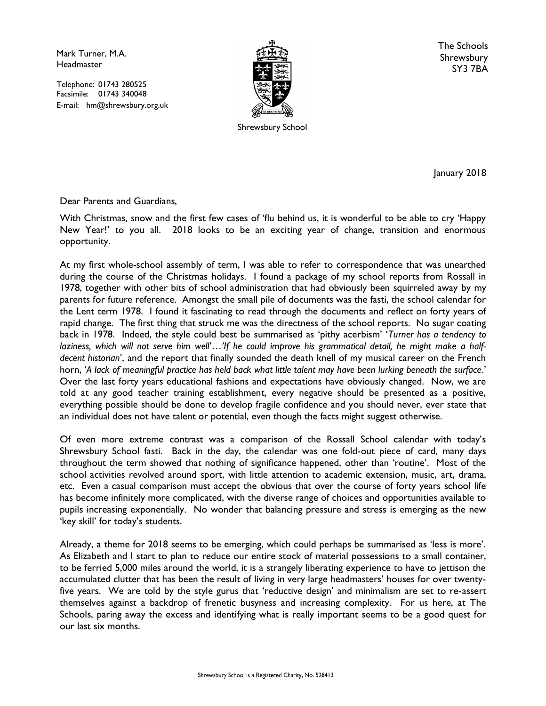Mark Turner, M.A. **Headmaster** 

Telephone: 01743 280525 Facsimile: 01743 340048 E-mail: hm@shrewsbury.org.uk



Shrewsbury School

The Schools Shrewsbury SY3 7BA

January 2018

Dear Parents and Guardians,

With Christmas, snow and the first few cases of 'flu behind us, it is wonderful to be able to cry 'Happy New Year!' to you all. 2018 looks to be an exciting year of change, transition and enormous opportunity.

At my first whole-school assembly of term, I was able to refer to correspondence that was unearthed during the course of the Christmas holidays. I found a package of my school reports from Rossall in 1978, together with other bits of school administration that had obviously been squirreled away by my parents for future reference. Amongst the small pile of documents was the fasti, the school calendar for the Lent term 1978. I found it fascinating to read through the documents and reflect on forty years of rapid change. The first thing that struck me was the directness of the school reports. No sugar coating back in 1978. Indeed, the style could best be summarised as 'pithy acerbism' 'Turner has a tendency to laziness, which will not serve him well'...'If he could improve his grammatical detail, he might make a halfdecent historian', and the report that finally sounded the death knell of my musical career on the French horn, 'A lack of meaningful practice has held back what little talent may have been lurking beneath the surface.' Over the last forty years educational fashions and expectations have obviously changed. Now, we are told at any good teacher training establishment, every negative should be presented as a positive, everything possible should be done to develop fragile confidence and you should never, ever state that an individual does not have talent or potential, even though the facts might suggest otherwise.

Of even more extreme contrast was a comparison of the Rossall School calendar with today's Shrewsbury School fasti. Back in the day, the calendar was one fold-out piece of card, many days throughout the term showed that nothing of significance happened, other than 'routine'. Most of the school activities revolved around sport, with little attention to academic extension, music, art, drama, etc. Even a casual comparison must accept the obvious that over the course of forty years school life has become infinitely more complicated, with the diverse range of choices and opportunities available to pupils increasing exponentially. No wonder that balancing pressure and stress is emerging as the new 'key skill' for today's students.

Already, a theme for 2018 seems to be emerging, which could perhaps be summarised as 'less is more'. As Elizabeth and I start to plan to reduce our entire stock of material possessions to a small container, to be ferried 5,000 miles around the world, it is a strangely liberating experience to have to jettison the accumulated clutter that has been the result of living in very large headmasters' houses for over twentyfive years. We are told by the style gurus that 'reductive design' and minimalism are set to re-assert themselves against a backdrop of frenetic busyness and increasing complexity. For us here, at The Schools, paring away the excess and identifying what is really important seems to be a good quest for our last six months.